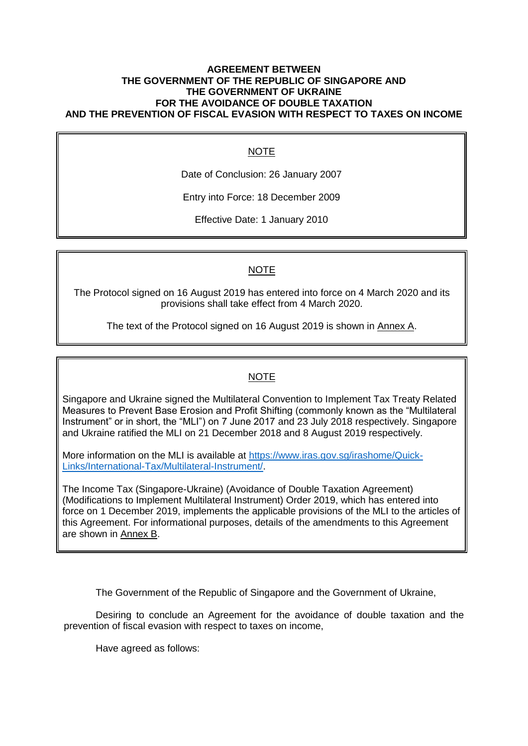#### **AGREEMENT BETWEEN THE GOVERNMENT OF THE REPUBLIC OF SINGAPORE AND THE GOVERNMENT OF UKRAINE FOR THE AVOIDANCE OF DOUBLE TAXATION AND THE PREVENTION OF FISCAL EVASION WITH RESPECT TO TAXES ON INCOME**

# NOTE

Date of Conclusion: 26 January 2007

Entry into Force: 18 December 2009

Effective Date: 1 January 2010

# NOTE

The Protocol signed on 16 August 2019 has entered into force on 4 March 2020 and its provisions shall take effect from 4 March 2020.

The text of the Protocol signed on 16 August 2019 is shown in Annex A.

# NOTE

Singapore and Ukraine signed the Multilateral Convention to Implement Tax Treaty Related Measures to Prevent Base Erosion and Profit Shifting (commonly known as the "Multilateral Instrument" or in short, the "MLI") on 7 June 2017 and 23 July 2018 respectively. Singapore and Ukraine ratified the MLI on 21 December 2018 and 8 August 2019 respectively.

More information on the MLI is available at [https://www.iras.gov.sg/irashome/Quick-](https://www.iras.gov.sg/irashome/Quick-Links/International-Tax/Multilateral-Instrument/)[Links/International-Tax/Multilateral-Instrument/.](https://www.iras.gov.sg/irashome/Quick-Links/International-Tax/Multilateral-Instrument/)

The Income Tax (Singapore-Ukraine) (Avoidance of Double Taxation Agreement) (Modifications to Implement Multilateral Instrument) Order 2019, which has entered into force on 1 December 2019, implements the applicable provisions of the MLI to the articles of this Agreement. For informational purposes, details of the amendments to this Agreement are shown in Annex B.

The Government of the Republic of Singapore and the Government of Ukraine,

Desiring to conclude an Agreement for the avoidance of double taxation and the prevention of fiscal evasion with respect to taxes on income,

Have agreed as follows: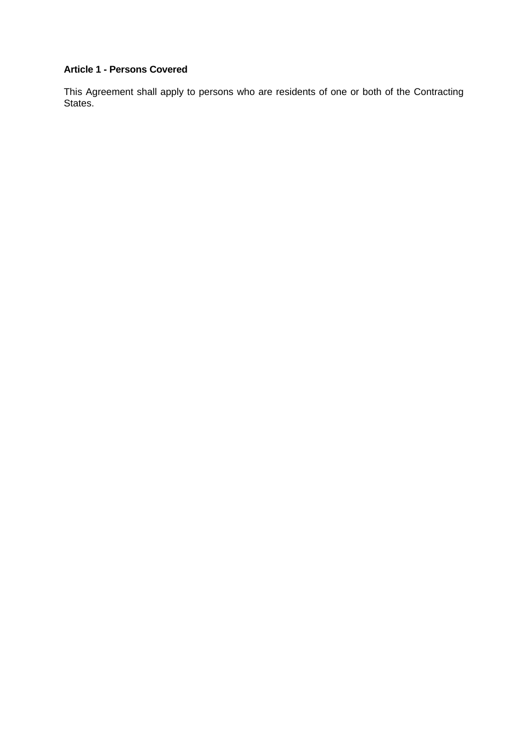## **Article 1 - Persons Covered**

This Agreement shall apply to persons who are residents of one or both of the Contracting States.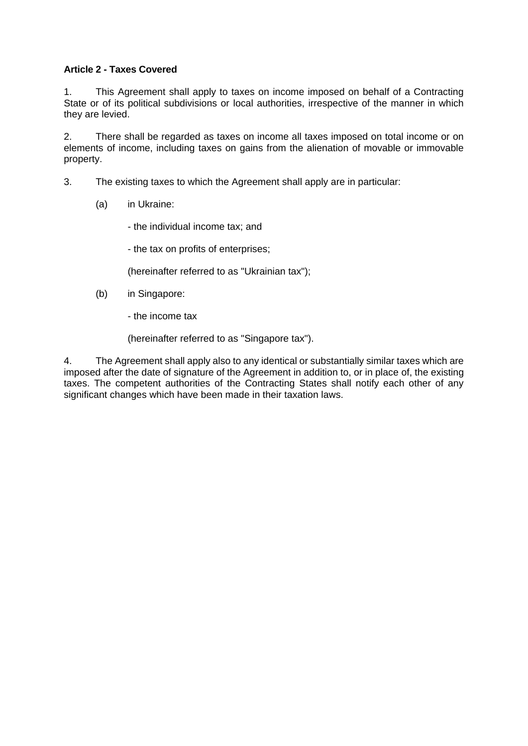## **Article 2 - Taxes Covered**

1. This Agreement shall apply to taxes on income imposed on behalf of a Contracting State or of its political subdivisions or local authorities, irrespective of the manner in which they are levied.

2. There shall be regarded as taxes on income all taxes imposed on total income or on elements of income, including taxes on gains from the alienation of movable or immovable property.

- 3. The existing taxes to which the Agreement shall apply are in particular:
	- (a) in Ukraine:
		- the individual income tax; and
		- the tax on profits of enterprises;
		- (hereinafter referred to as "Ukrainian tax");
	- (b) in Singapore:
		- the income tax
		- (hereinafter referred to as "Singapore tax").

4. The Agreement shall apply also to any identical or substantially similar taxes which are imposed after the date of signature of the Agreement in addition to, or in place of, the existing taxes. The competent authorities of the Contracting States shall notify each other of any significant changes which have been made in their taxation laws.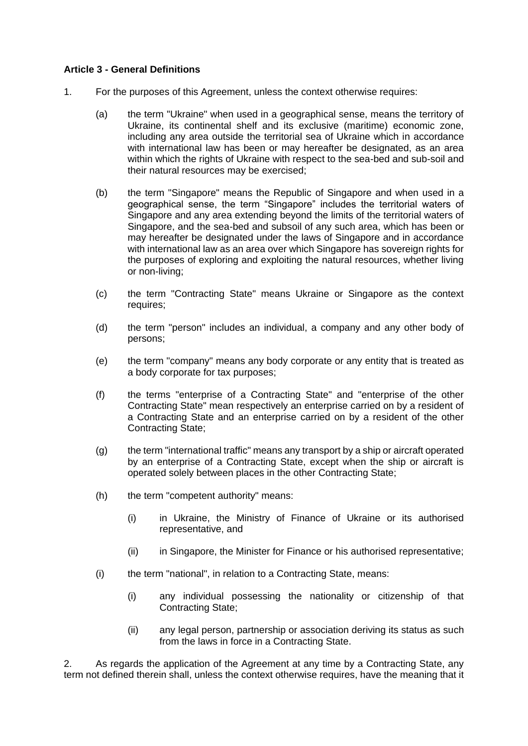## **Article 3 - General Definitions**

- 1. For the purposes of this Agreement, unless the context otherwise requires:
	- (a) the term "Ukraine" when used in a geographical sense, means the territory of Ukraine, its continental shelf and its exclusive (maritime) economic zone, including any area outside the territorial sea of Ukraine which in accordance with international law has been or may hereafter be designated, as an area within which the rights of Ukraine with respect to the sea-bed and sub-soil and their natural resources may be exercised;
	- (b) the term "Singapore" means the Republic of Singapore and when used in a geographical sense, the term "Singapore" includes the territorial waters of Singapore and any area extending beyond the limits of the territorial waters of Singapore, and the sea-bed and subsoil of any such area, which has been or may hereafter be designated under the laws of Singapore and in accordance with international law as an area over which Singapore has sovereign rights for the purposes of exploring and exploiting the natural resources, whether living or non-living;
	- (c) the term "Contracting State" means Ukraine or Singapore as the context requires;
	- (d) the term "person" includes an individual, a company and any other body of persons;
	- (e) the term "company" means any body corporate or any entity that is treated as a body corporate for tax purposes;
	- (f) the terms "enterprise of a Contracting State" and "enterprise of the other Contracting State" mean respectively an enterprise carried on by a resident of a Contracting State and an enterprise carried on by a resident of the other Contracting State;
	- (g) the term "international traffic" means any transport by a ship or aircraft operated by an enterprise of a Contracting State, except when the ship or aircraft is operated solely between places in the other Contracting State;
	- (h) the term "competent authority" means:
		- (i) in Ukraine, the Ministry of Finance of Ukraine or its authorised representative, and
		- (ii) in Singapore, the Minister for Finance or his authorised representative;
	- (i) the term "national", in relation to a Contracting State, means:
		- (i) any individual possessing the nationality or citizenship of that Contracting State;
		- (ii) any legal person, partnership or association deriving its status as such from the laws in force in a Contracting State.

2. As regards the application of the Agreement at any time by a Contracting State, any term not defined therein shall, unless the context otherwise requires, have the meaning that it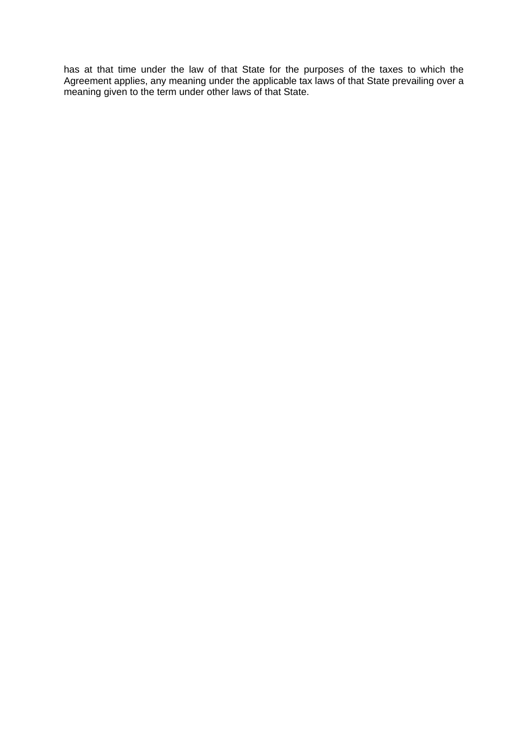has at that time under the law of that State for the purposes of the taxes to which the Agreement applies, any meaning under the applicable tax laws of that State prevailing over a meaning given to the term under other laws of that State.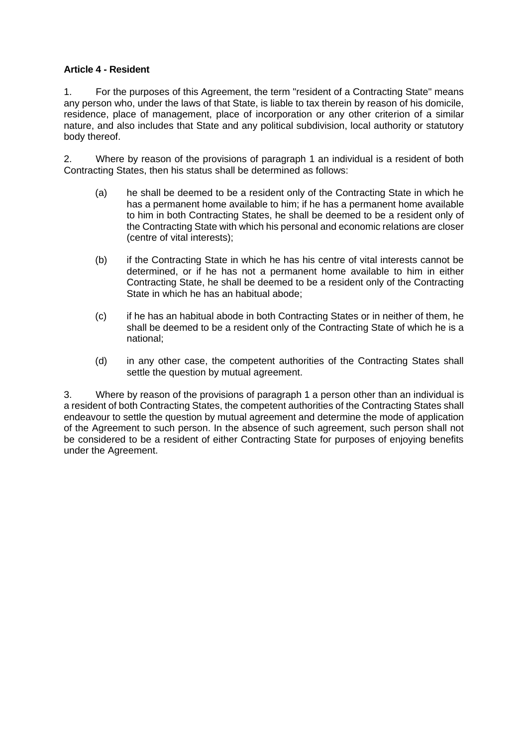## **Article 4 - Resident**

1. For the purposes of this Agreement, the term "resident of a Contracting State" means any person who, under the laws of that State, is liable to tax therein by reason of his domicile, residence, place of management, place of incorporation or any other criterion of a similar nature, and also includes that State and any political subdivision, local authority or statutory body thereof.

2. Where by reason of the provisions of paragraph 1 an individual is a resident of both Contracting States, then his status shall be determined as follows:

- (a) he shall be deemed to be a resident only of the Contracting State in which he has a permanent home available to him; if he has a permanent home available to him in both Contracting States, he shall be deemed to be a resident only of the Contracting State with which his personal and economic relations are closer (centre of vital interests);
- (b) if the Contracting State in which he has his centre of vital interests cannot be determined, or if he has not a permanent home available to him in either Contracting State, he shall be deemed to be a resident only of the Contracting State in which he has an habitual abode;
- (c) if he has an habitual abode in both Contracting States or in neither of them, he shall be deemed to be a resident only of the Contracting State of which he is a national;
- (d) in any other case, the competent authorities of the Contracting States shall settle the question by mutual agreement.

3. Where by reason of the provisions of paragraph 1 a person other than an individual is a resident of both Contracting States, the competent authorities of the Contracting States shall endeavour to settle the question by mutual agreement and determine the mode of application of the Agreement to such person. In the absence of such agreement, such person shall not be considered to be a resident of either Contracting State for purposes of enjoying benefits under the Agreement.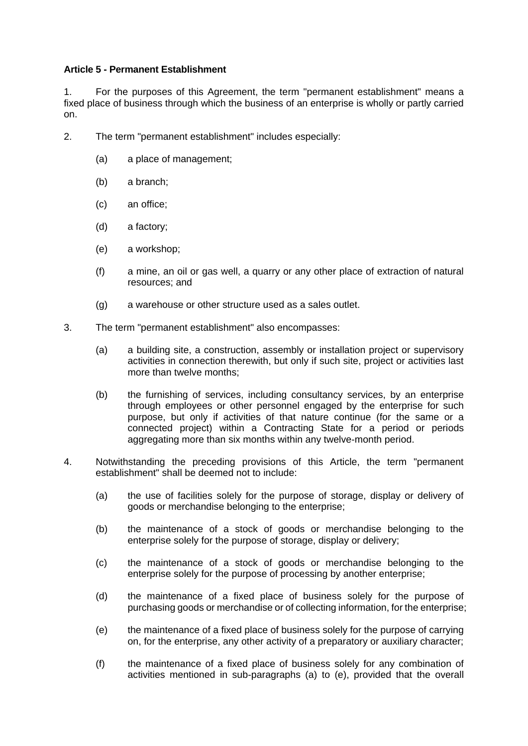## **Article 5 - Permanent Establishment**

1. For the purposes of this Agreement, the term "permanent establishment" means a fixed place of business through which the business of an enterprise is wholly or partly carried on.

- 2. The term "permanent establishment" includes especially:
	- (a) a place of management;
	- (b) a branch;
	- (c) an office;
	- (d) a factory;
	- (e) a workshop;
	- (f) a mine, an oil or gas well, a quarry or any other place of extraction of natural resources; and
	- (g) a warehouse or other structure used as a sales outlet.
- 3. The term "permanent establishment" also encompasses:
	- (a) a building site, a construction, assembly or installation project or supervisory activities in connection therewith, but only if such site, project or activities last more than twelve months;
	- (b) the furnishing of services, including consultancy services, by an enterprise through employees or other personnel engaged by the enterprise for such purpose, but only if activities of that nature continue (for the same or a connected project) within a Contracting State for a period or periods aggregating more than six months within any twelve-month period.
- 4. Notwithstanding the preceding provisions of this Article, the term "permanent establishment" shall be deemed not to include:
	- (a) the use of facilities solely for the purpose of storage, display or delivery of goods or merchandise belonging to the enterprise;
	- (b) the maintenance of a stock of goods or merchandise belonging to the enterprise solely for the purpose of storage, display or delivery;
	- (c) the maintenance of a stock of goods or merchandise belonging to the enterprise solely for the purpose of processing by another enterprise;
	- (d) the maintenance of a fixed place of business solely for the purpose of purchasing goods or merchandise or of collecting information, for the enterprise;
	- (e) the maintenance of a fixed place of business solely for the purpose of carrying on, for the enterprise, any other activity of a preparatory or auxiliary character;
	- (f) the maintenance of a fixed place of business solely for any combination of activities mentioned in sub-paragraphs (a) to (e), provided that the overall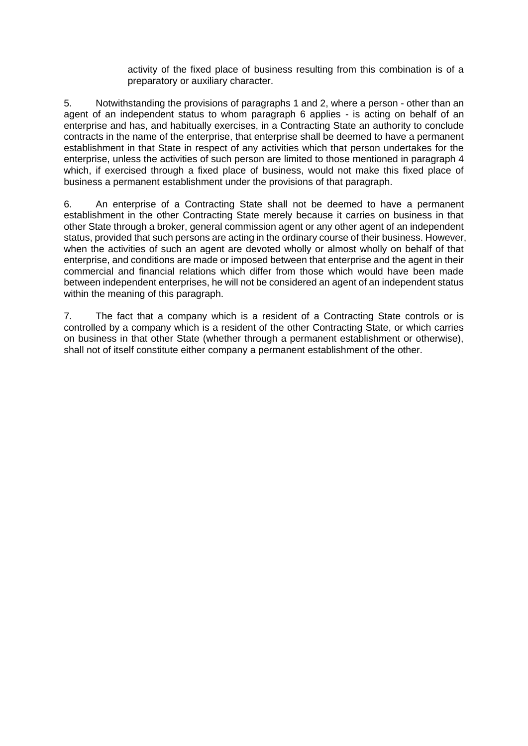activity of the fixed place of business resulting from this combination is of a preparatory or auxiliary character.

5. Notwithstanding the provisions of paragraphs 1 and 2, where a person - other than an agent of an independent status to whom paragraph 6 applies - is acting on behalf of an enterprise and has, and habitually exercises, in a Contracting State an authority to conclude contracts in the name of the enterprise, that enterprise shall be deemed to have a permanent establishment in that State in respect of any activities which that person undertakes for the enterprise, unless the activities of such person are limited to those mentioned in paragraph 4 which, if exercised through a fixed place of business, would not make this fixed place of business a permanent establishment under the provisions of that paragraph.

6. An enterprise of a Contracting State shall not be deemed to have a permanent establishment in the other Contracting State merely because it carries on business in that other State through a broker, general commission agent or any other agent of an independent status, provided that such persons are acting in the ordinary course of their business. However, when the activities of such an agent are devoted wholly or almost wholly on behalf of that enterprise, and conditions are made or imposed between that enterprise and the agent in their commercial and financial relations which differ from those which would have been made between independent enterprises, he will not be considered an agent of an independent status within the meaning of this paragraph.

7. The fact that a company which is a resident of a Contracting State controls or is controlled by a company which is a resident of the other Contracting State, or which carries on business in that other State (whether through a permanent establishment or otherwise), shall not of itself constitute either company a permanent establishment of the other.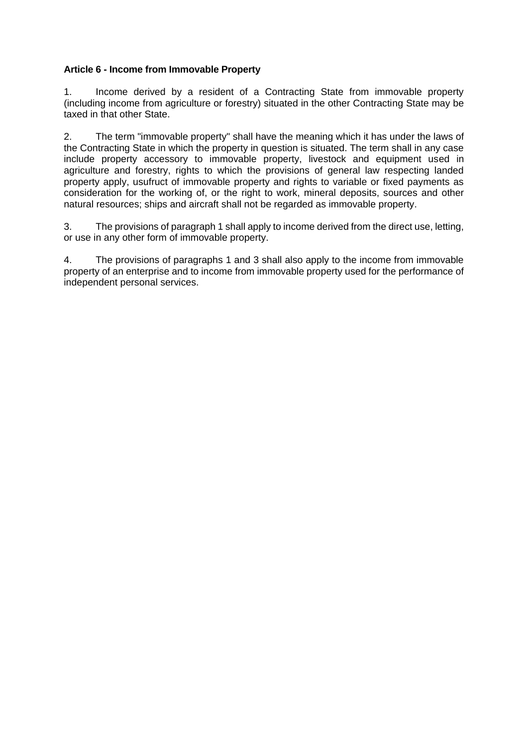## **Article 6 - Income from Immovable Property**

1. Income derived by a resident of a Contracting State from immovable property (including income from agriculture or forestry) situated in the other Contracting State may be taxed in that other State.

2. The term "immovable property" shall have the meaning which it has under the laws of the Contracting State in which the property in question is situated. The term shall in any case include property accessory to immovable property, livestock and equipment used in agriculture and forestry, rights to which the provisions of general law respecting landed property apply, usufruct of immovable property and rights to variable or fixed payments as consideration for the working of, or the right to work, mineral deposits, sources and other natural resources; ships and aircraft shall not be regarded as immovable property.

3. The provisions of paragraph 1 shall apply to income derived from the direct use, letting, or use in any other form of immovable property.

4. The provisions of paragraphs 1 and 3 shall also apply to the income from immovable property of an enterprise and to income from immovable property used for the performance of independent personal services.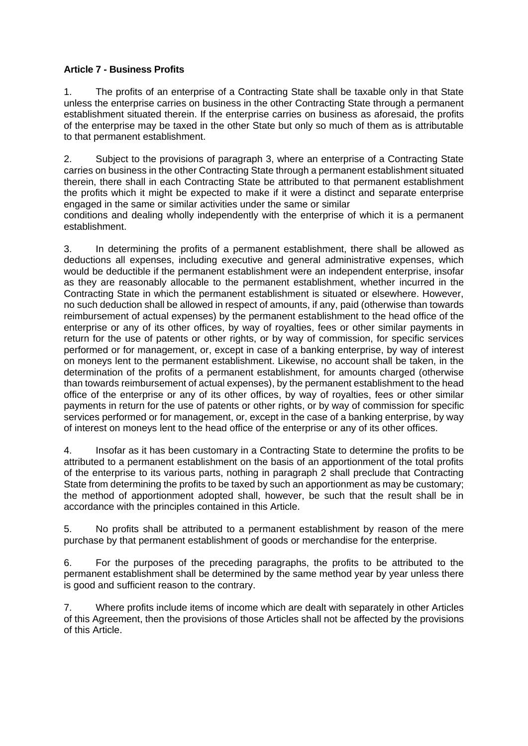## **Article 7 - Business Profits**

1. The profits of an enterprise of a Contracting State shall be taxable only in that State unless the enterprise carries on business in the other Contracting State through a permanent establishment situated therein. If the enterprise carries on business as aforesaid, the profits of the enterprise may be taxed in the other State but only so much of them as is attributable to that permanent establishment.

2. Subject to the provisions of paragraph 3, where an enterprise of a Contracting State carries on business in the other Contracting State through a permanent establishment situated therein, there shall in each Contracting State be attributed to that permanent establishment the profits which it might be expected to make if it were a distinct and separate enterprise engaged in the same or similar activities under the same or similar conditions and dealing wholly independently with the enterprise of which it is a permanent

establishment.

3. In determining the profits of a permanent establishment, there shall be allowed as deductions all expenses, including executive and general administrative expenses, which would be deductible if the permanent establishment were an independent enterprise, insofar as they are reasonably allocable to the permanent establishment, whether incurred in the Contracting State in which the permanent establishment is situated or elsewhere. However, no such deduction shall be allowed in respect of amounts, if any, paid (otherwise than towards reimbursement of actual expenses) by the permanent establishment to the head office of the enterprise or any of its other offices, by way of royalties, fees or other similar payments in return for the use of patents or other rights, or by way of commission, for specific services performed or for management, or, except in case of a banking enterprise, by way of interest on moneys lent to the permanent establishment. Likewise, no account shall be taken, in the determination of the profits of a permanent establishment, for amounts charged (otherwise than towards reimbursement of actual expenses), by the permanent establishment to the head office of the enterprise or any of its other offices, by way of royalties, fees or other similar payments in return for the use of patents or other rights, or by way of commission for specific services performed or for management, or, except in the case of a banking enterprise, by way of interest on moneys lent to the head office of the enterprise or any of its other offices.

4. Insofar as it has been customary in a Contracting State to determine the profits to be attributed to a permanent establishment on the basis of an apportionment of the total profits of the enterprise to its various parts, nothing in paragraph 2 shall preclude that Contracting State from determining the profits to be taxed by such an apportionment as may be customary; the method of apportionment adopted shall, however, be such that the result shall be in accordance with the principles contained in this Article.

5. No profits shall be attributed to a permanent establishment by reason of the mere purchase by that permanent establishment of goods or merchandise for the enterprise.

6. For the purposes of the preceding paragraphs, the profits to be attributed to the permanent establishment shall be determined by the same method year by year unless there is good and sufficient reason to the contrary.

7. Where profits include items of income which are dealt with separately in other Articles of this Agreement, then the provisions of those Articles shall not be affected by the provisions of this Article.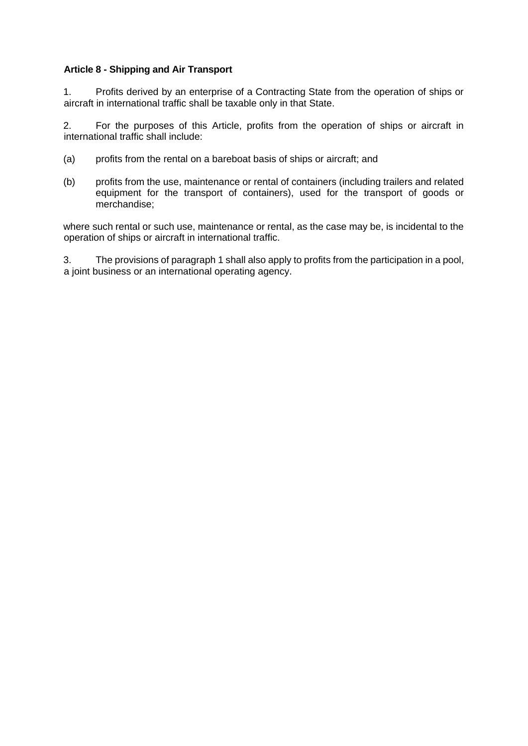## **Article 8 - Shipping and Air Transport**

1. Profits derived by an enterprise of a Contracting State from the operation of ships or aircraft in international traffic shall be taxable only in that State.

2. For the purposes of this Article, profits from the operation of ships or aircraft in international traffic shall include:

- (a) profits from the rental on a bareboat basis of ships or aircraft; and
- (b) profits from the use, maintenance or rental of containers (including trailers and related equipment for the transport of containers), used for the transport of goods or merchandise;

where such rental or such use, maintenance or rental, as the case may be, is incidental to the operation of ships or aircraft in international traffic.

3. The provisions of paragraph 1 shall also apply to profits from the participation in a pool, a joint business or an international operating agency.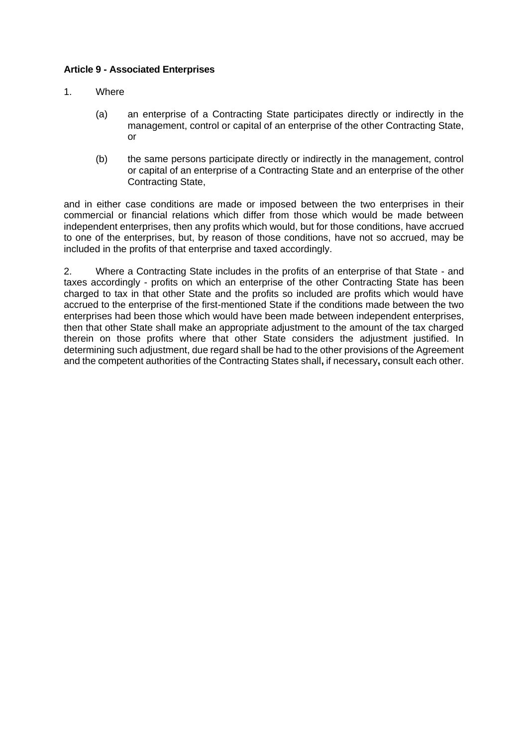## **Article 9 - Associated Enterprises**

- 1. Where
	- (a) an enterprise of a Contracting State participates directly or indirectly in the management, control or capital of an enterprise of the other Contracting State, or
	- (b) the same persons participate directly or indirectly in the management, control or capital of an enterprise of a Contracting State and an enterprise of the other Contracting State,

and in either case conditions are made or imposed between the two enterprises in their commercial or financial relations which differ from those which would be made between independent enterprises, then any profits which would, but for those conditions, have accrued to one of the enterprises, but, by reason of those conditions, have not so accrued, may be included in the profits of that enterprise and taxed accordingly.

2. Where a Contracting State includes in the profits of an enterprise of that State - and taxes accordingly - profits on which an enterprise of the other Contracting State has been charged to tax in that other State and the profits so included are profits which would have accrued to the enterprise of the first-mentioned State if the conditions made between the two enterprises had been those which would have been made between independent enterprises, then that other State shall make an appropriate adjustment to the amount of the tax charged therein on those profits where that other State considers the adjustment justified. In determining such adjustment, due regard shall be had to the other provisions of the Agreement and the competent authorities of the Contracting States shall**,** if necessary**,** consult each other.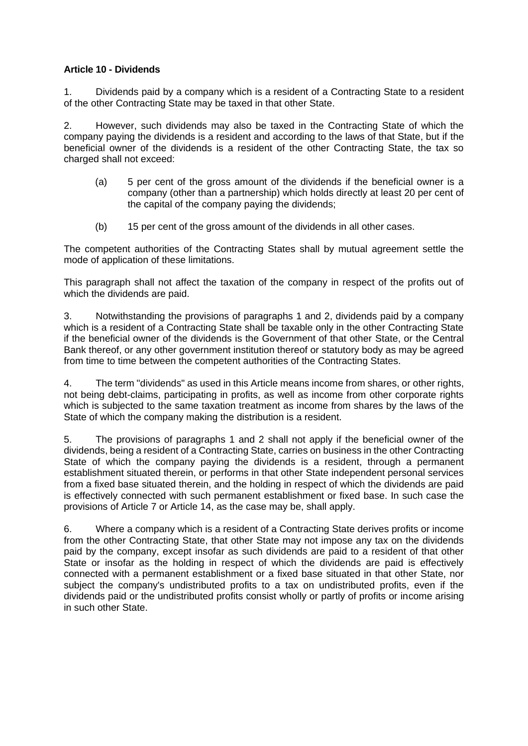## **Article 10 - Dividends**

1. Dividends paid by a company which is a resident of a Contracting State to a resident of the other Contracting State may be taxed in that other State.

2. However, such dividends may also be taxed in the Contracting State of which the company paying the dividends is a resident and according to the laws of that State, but if the beneficial owner of the dividends is a resident of the other Contracting State, the tax so charged shall not exceed:

- (a) 5 per cent of the gross amount of the dividends if the beneficial owner is a company (other than a partnership) which holds directly at least 20 per cent of the capital of the company paying the dividends;
- (b) 15 per cent of the gross amount of the dividends in all other cases.

The competent authorities of the Contracting States shall by mutual agreement settle the mode of application of these limitations.

This paragraph shall not affect the taxation of the company in respect of the profits out of which the dividends are paid.

3. Notwithstanding the provisions of paragraphs 1 and 2, dividends paid by a company which is a resident of a Contracting State shall be taxable only in the other Contracting State if the beneficial owner of the dividends is the Government of that other State, or the Central Bank thereof, or any other government institution thereof or statutory body as may be agreed from time to time between the competent authorities of the Contracting States.

4. The term "dividends" as used in this Article means income from shares, or other rights, not being debt-claims, participating in profits, as well as income from other corporate rights which is subjected to the same taxation treatment as income from shares by the laws of the State of which the company making the distribution is a resident.

5. The provisions of paragraphs 1 and 2 shall not apply if the beneficial owner of the dividends, being a resident of a Contracting State, carries on business in the other Contracting State of which the company paying the dividends is a resident, through a permanent establishment situated therein, or performs in that other State independent personal services from a fixed base situated therein, and the holding in respect of which the dividends are paid is effectively connected with such permanent establishment or fixed base. In such case the provisions of Article 7 or Article 14, as the case may be, shall apply.

6. Where a company which is a resident of a Contracting State derives profits or income from the other Contracting State, that other State may not impose any tax on the dividends paid by the company, except insofar as such dividends are paid to a resident of that other State or insofar as the holding in respect of which the dividends are paid is effectively connected with a permanent establishment or a fixed base situated in that other State, nor subject the company's undistributed profits to a tax on undistributed profits, even if the dividends paid or the undistributed profits consist wholly or partly of profits or income arising in such other State.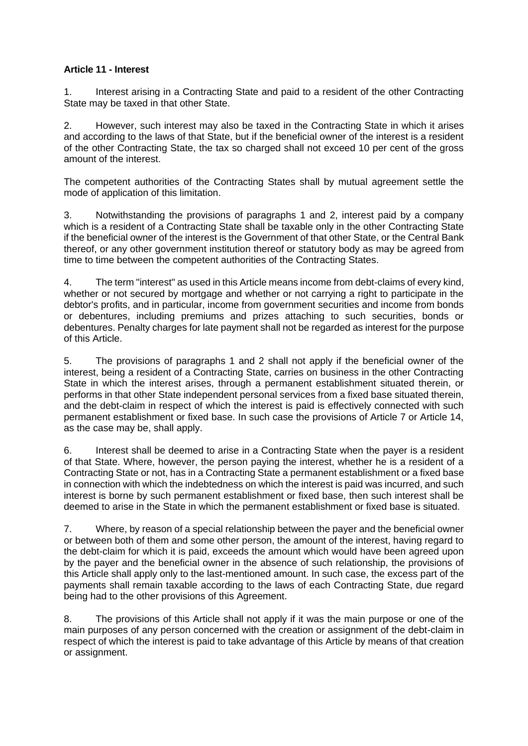## **Article 11 - Interest**

1. Interest arising in a Contracting State and paid to a resident of the other Contracting State may be taxed in that other State.

2. However, such interest may also be taxed in the Contracting State in which it arises and according to the laws of that State, but if the beneficial owner of the interest is a resident of the other Contracting State, the tax so charged shall not exceed 10 per cent of the gross amount of the interest.

The competent authorities of the Contracting States shall by mutual agreement settle the mode of application of this limitation.

3. Notwithstanding the provisions of paragraphs 1 and 2, interest paid by a company which is a resident of a Contracting State shall be taxable only in the other Contracting State if the beneficial owner of the interest is the Government of that other State, or the Central Bank thereof, or any other government institution thereof or statutory body as may be agreed from time to time between the competent authorities of the Contracting States.

4. The term "interest" as used in this Article means income from debt-claims of every kind, whether or not secured by mortgage and whether or not carrying a right to participate in the debtor's profits, and in particular, income from government securities and income from bonds or debentures, including premiums and prizes attaching to such securities, bonds or debentures. Penalty charges for late payment shall not be regarded as interest for the purpose of this Article.

5. The provisions of paragraphs 1 and 2 shall not apply if the beneficial owner of the interest, being a resident of a Contracting State, carries on business in the other Contracting State in which the interest arises, through a permanent establishment situated therein, or performs in that other State independent personal services from a fixed base situated therein, and the debt-claim in respect of which the interest is paid is effectively connected with such permanent establishment or fixed base. In such case the provisions of Article 7 or Article 14, as the case may be, shall apply.

6. Interest shall be deemed to arise in a Contracting State when the payer is a resident of that State. Where, however, the person paying the interest, whether he is a resident of a Contracting State or not, has in a Contracting State a permanent establishment or a fixed base in connection with which the indebtedness on which the interest is paid was incurred, and such interest is borne by such permanent establishment or fixed base, then such interest shall be deemed to arise in the State in which the permanent establishment or fixed base is situated.

7. Where, by reason of a special relationship between the payer and the beneficial owner or between both of them and some other person, the amount of the interest, having regard to the debt-claim for which it is paid, exceeds the amount which would have been agreed upon by the payer and the beneficial owner in the absence of such relationship, the provisions of this Article shall apply only to the last-mentioned amount. In such case, the excess part of the payments shall remain taxable according to the laws of each Contracting State, due regard being had to the other provisions of this Agreement.

8. The provisions of this Article shall not apply if it was the main purpose or one of the main purposes of any person concerned with the creation or assignment of the debt-claim in respect of which the interest is paid to take advantage of this Article by means of that creation or assignment.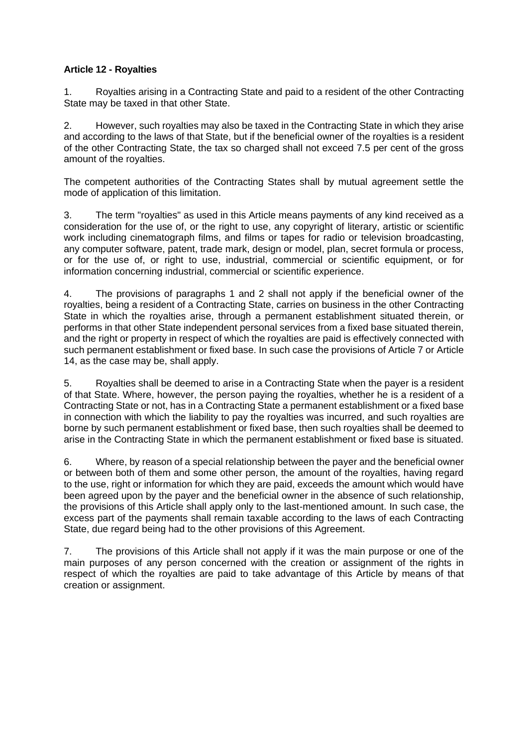## **Article 12 - Royalties**

1. Royalties arising in a Contracting State and paid to a resident of the other Contracting State may be taxed in that other State.

2. However, such royalties may also be taxed in the Contracting State in which they arise and according to the laws of that State, but if the beneficial owner of the royalties is a resident of the other Contracting State, the tax so charged shall not exceed 7.5 per cent of the gross amount of the royalties.

The competent authorities of the Contracting States shall by mutual agreement settle the mode of application of this limitation.

3. The term "royalties" as used in this Article means payments of any kind received as a consideration for the use of, or the right to use, any copyright of literary, artistic or scientific work including cinematograph films, and films or tapes for radio or television broadcasting, any computer software, patent, trade mark, design or model, plan, secret formula or process, or for the use of, or right to use, industrial, commercial or scientific equipment, or for information concerning industrial, commercial or scientific experience.

4. The provisions of paragraphs 1 and 2 shall not apply if the beneficial owner of the royalties, being a resident of a Contracting State, carries on business in the other Contracting State in which the royalties arise, through a permanent establishment situated therein, or performs in that other State independent personal services from a fixed base situated therein, and the right or property in respect of which the royalties are paid is effectively connected with such permanent establishment or fixed base. In such case the provisions of Article 7 or Article 14, as the case may be, shall apply.

5. Royalties shall be deemed to arise in a Contracting State when the payer is a resident of that State. Where, however, the person paying the royalties, whether he is a resident of a Contracting State or not, has in a Contracting State a permanent establishment or a fixed base in connection with which the liability to pay the royalties was incurred, and such royalties are borne by such permanent establishment or fixed base, then such royalties shall be deemed to arise in the Contracting State in which the permanent establishment or fixed base is situated.

6. Where, by reason of a special relationship between the payer and the beneficial owner or between both of them and some other person, the amount of the royalties, having regard to the use, right or information for which they are paid, exceeds the amount which would have been agreed upon by the payer and the beneficial owner in the absence of such relationship, the provisions of this Article shall apply only to the last-mentioned amount. In such case, the excess part of the payments shall remain taxable according to the laws of each Contracting State, due regard being had to the other provisions of this Agreement.

7. The provisions of this Article shall not apply if it was the main purpose or one of the main purposes of any person concerned with the creation or assignment of the rights in respect of which the royalties are paid to take advantage of this Article by means of that creation or assignment.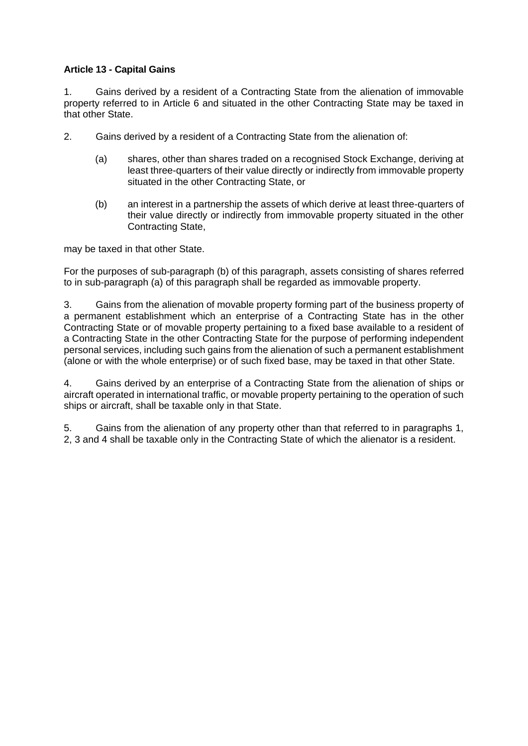## **Article 13 - Capital Gains**

1. Gains derived by a resident of a Contracting State from the alienation of immovable property referred to in Article 6 and situated in the other Contracting State may be taxed in that other State.

- 2. Gains derived by a resident of a Contracting State from the alienation of:
	- (a) shares, other than shares traded on a recognised Stock Exchange, deriving at least three-quarters of their value directly or indirectly from immovable property situated in the other Contracting State, or
	- (b) an interest in a partnership the assets of which derive at least three-quarters of their value directly or indirectly from immovable property situated in the other Contracting State,

may be taxed in that other State.

For the purposes of sub-paragraph (b) of this paragraph, assets consisting of shares referred to in sub-paragraph (a) of this paragraph shall be regarded as immovable property.

3. Gains from the alienation of movable property forming part of the business property of a permanent establishment which an enterprise of a Contracting State has in the other Contracting State or of movable property pertaining to a fixed base available to a resident of a Contracting State in the other Contracting State for the purpose of performing independent personal services, including such gains from the alienation of such a permanent establishment (alone or with the whole enterprise) or of such fixed base, may be taxed in that other State.

4. Gains derived by an enterprise of a Contracting State from the alienation of ships or aircraft operated in international traffic, or movable property pertaining to the operation of such ships or aircraft, shall be taxable only in that State.

5. Gains from the alienation of any property other than that referred to in paragraphs 1, 2, 3 and 4 shall be taxable only in the Contracting State of which the alienator is a resident.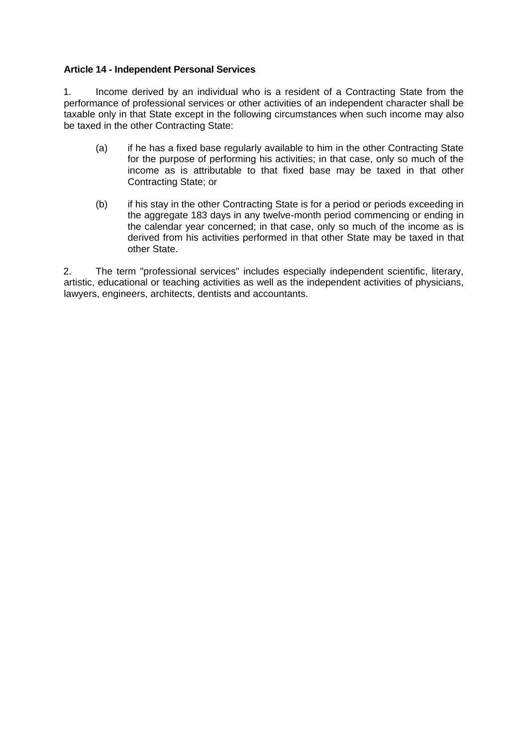## **Article 14 - Independent Personal Services**

1. Income derived by an individual who is a resident of a Contracting State from the performance of professional services or other activities of an independent character shall be taxable only in that State except in the following circumstances when such income may also be taxed in the other Contracting State:

- (a) if he has a fixed base regularly available to him in the other Contracting State for the purpose of performing his activities; in that case, only so much of the income as is attributable to that fixed base may be taxed in that other Contracting State; or
- (b) if his stay in the other Contracting State is for a period or periods exceeding in the aggregate 183 days in any twelve-month period commencing or ending in the calendar year concerned; in that case, only so much of the income as is derived from his activities performed in that other State may be taxed in that other State.

2. The term "professional services" includes especially independent scientific, literary, artistic, educational or teaching activities as well as the independent activities of physicians, lawyers, engineers, architects, dentists and accountants.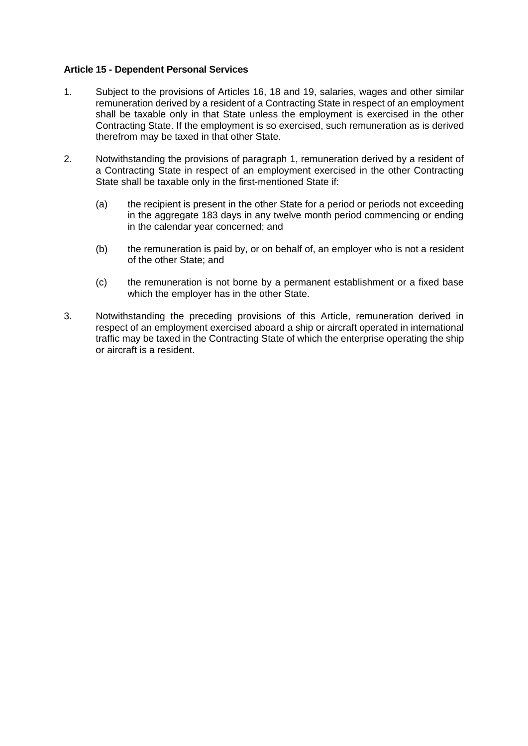#### **Article 15 - Dependent Personal Services**

- 1. Subject to the provisions of Articles 16, 18 and 19, salaries, wages and other similar remuneration derived by a resident of a Contracting State in respect of an employment shall be taxable only in that State unless the employment is exercised in the other Contracting State. If the employment is so exercised, such remuneration as is derived therefrom may be taxed in that other State.
- 2. Notwithstanding the provisions of paragraph 1, remuneration derived by a resident of a Contracting State in respect of an employment exercised in the other Contracting State shall be taxable only in the first-mentioned State if:
	- (a) the recipient is present in the other State for a period or periods not exceeding in the aggregate 183 days in any twelve month period commencing or ending in the calendar year concerned; and
	- (b) the remuneration is paid by, or on behalf of, an employer who is not a resident of the other State; and
	- (c) the remuneration is not borne by a permanent establishment or a fixed base which the employer has in the other State.
- 3. Notwithstanding the preceding provisions of this Article, remuneration derived in respect of an employment exercised aboard a ship or aircraft operated in international traffic may be taxed in the Contracting State of which the enterprise operating the ship or aircraft is a resident.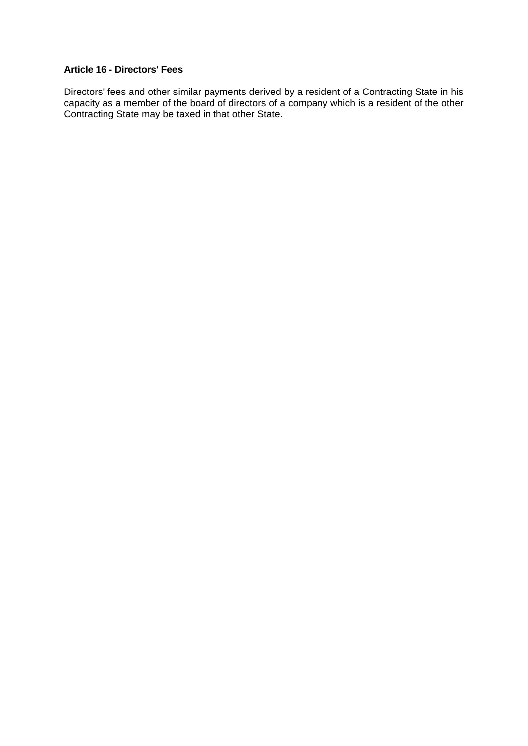## **Article 16 - Directors' Fees**

Directors' fees and other similar payments derived by a resident of a Contracting State in his capacity as a member of the board of directors of a company which is a resident of the other Contracting State may be taxed in that other State.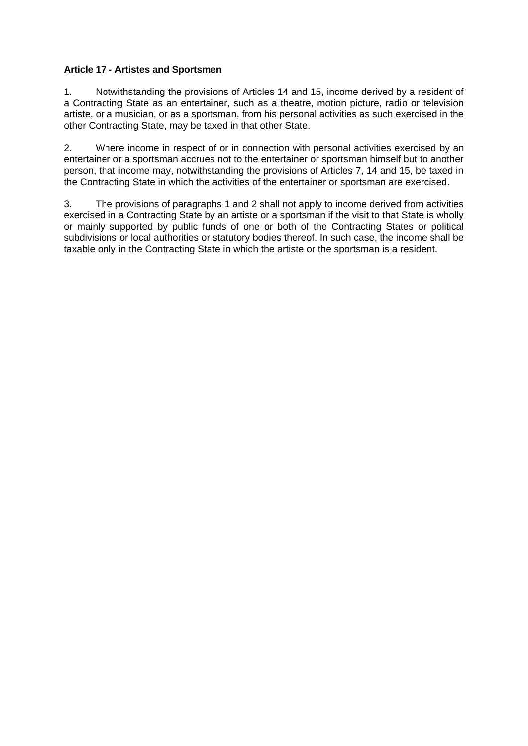## **Article 17 - Artistes and Sportsmen**

1. Notwithstanding the provisions of Articles 14 and 15, income derived by a resident of a Contracting State as an entertainer, such as a theatre, motion picture, radio or television artiste, or a musician, or as a sportsman, from his personal activities as such exercised in the other Contracting State, may be taxed in that other State.

2. Where income in respect of or in connection with personal activities exercised by an entertainer or a sportsman accrues not to the entertainer or sportsman himself but to another person, that income may, notwithstanding the provisions of Articles 7, 14 and 15, be taxed in the Contracting State in which the activities of the entertainer or sportsman are exercised.

3. The provisions of paragraphs 1 and 2 shall not apply to income derived from activities exercised in a Contracting State by an artiste or a sportsman if the visit to that State is wholly or mainly supported by public funds of one or both of the Contracting States or political subdivisions or local authorities or statutory bodies thereof. In such case, the income shall be taxable only in the Contracting State in which the artiste or the sportsman is a resident.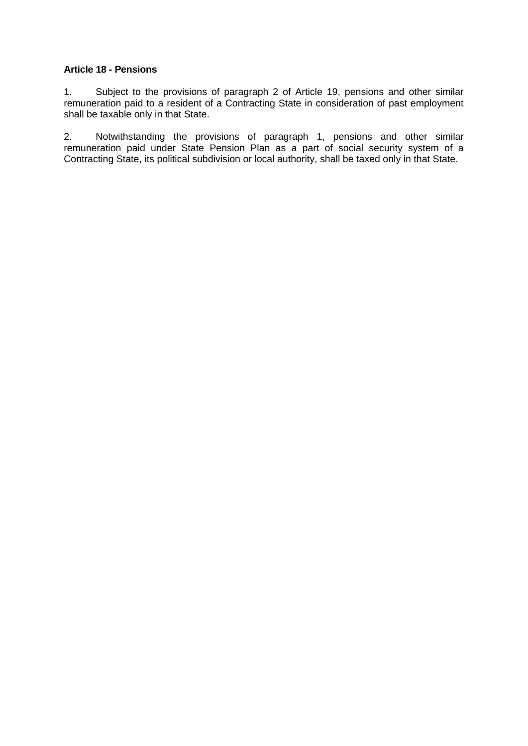## **Article 18 - Pensions**

1. Subject to the provisions of paragraph 2 of Article 19, pensions and other similar remuneration paid to a resident of a Contracting State in consideration of past employment shall be taxable only in that State.

2. Notwithstanding the provisions of paragraph 1, pensions and other similar remuneration paid under State Pension Plan as a part of social security system of a Contracting State, its political subdivision or local authority, shall be taxed only in that State.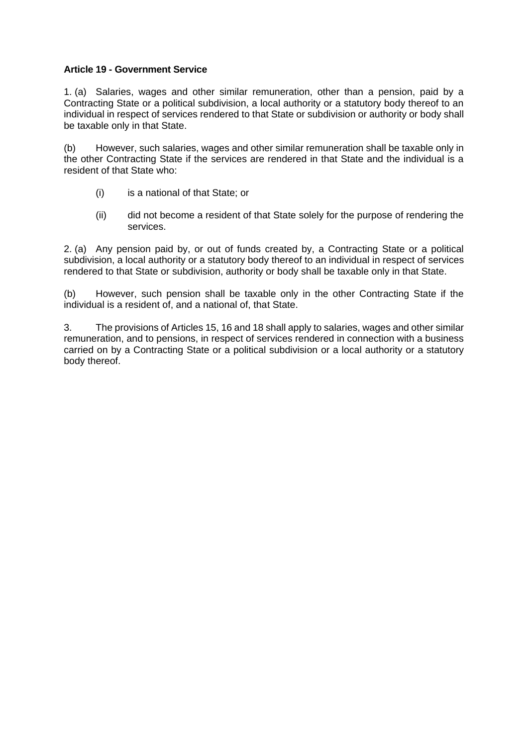## **Article 19 - Government Service**

1. (a) Salaries, wages and other similar remuneration, other than a pension, paid by a Contracting State or a political subdivision, a local authority or a statutory body thereof to an individual in respect of services rendered to that State or subdivision or authority or body shall be taxable only in that State.

(b) However, such salaries, wages and other similar remuneration shall be taxable only in the other Contracting State if the services are rendered in that State and the individual is a resident of that State who:

- (i) is a national of that State; or
- (ii) did not become a resident of that State solely for the purpose of rendering the services.

2. (a) Any pension paid by, or out of funds created by, a Contracting State or a political subdivision, a local authority or a statutory body thereof to an individual in respect of services rendered to that State or subdivision, authority or body shall be taxable only in that State.

(b) However, such pension shall be taxable only in the other Contracting State if the individual is a resident of, and a national of, that State.

3. The provisions of Articles 15, 16 and 18 shall apply to salaries, wages and other similar remuneration, and to pensions, in respect of services rendered in connection with a business carried on by a Contracting State or a political subdivision or a local authority or a statutory body thereof.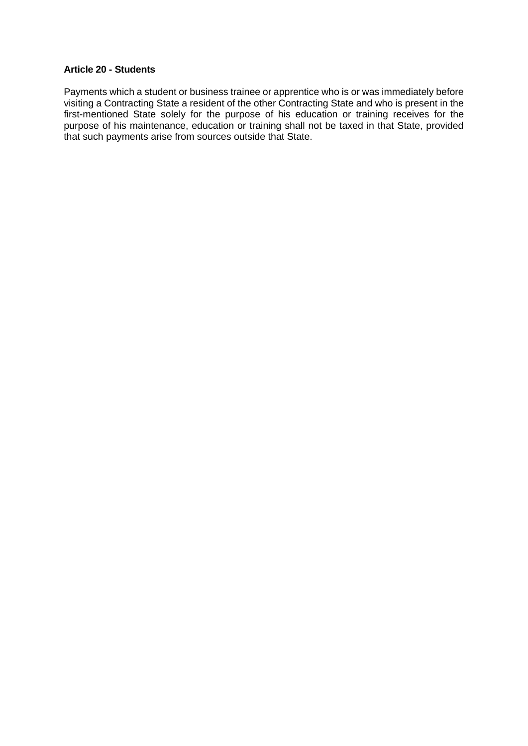#### **Article 20 - Students**

Payments which a student or business trainee or apprentice who is or was immediately before visiting a Contracting State a resident of the other Contracting State and who is present in the first-mentioned State solely for the purpose of his education or training receives for the purpose of his maintenance, education or training shall not be taxed in that State, provided that such payments arise from sources outside that State.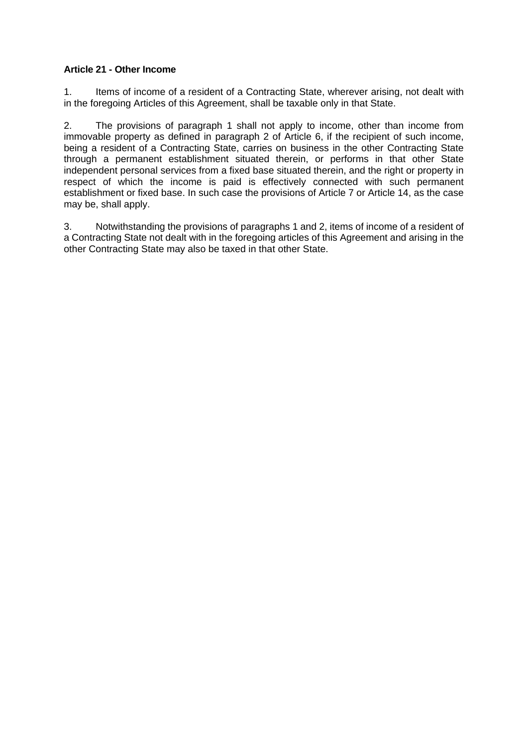## **Article 21 - Other Income**

1. Items of income of a resident of a Contracting State, wherever arising, not dealt with in the foregoing Articles of this Agreement, shall be taxable only in that State.

2. The provisions of paragraph 1 shall not apply to income, other than income from immovable property as defined in paragraph 2 of Article 6, if the recipient of such income, being a resident of a Contracting State, carries on business in the other Contracting State through a permanent establishment situated therein, or performs in that other State independent personal services from a fixed base situated therein, and the right or property in respect of which the income is paid is effectively connected with such permanent establishment or fixed base. In such case the provisions of Article 7 or Article 14, as the case may be, shall apply.

3. Notwithstanding the provisions of paragraphs 1 and 2, items of income of a resident of a Contracting State not dealt with in the foregoing articles of this Agreement and arising in the other Contracting State may also be taxed in that other State.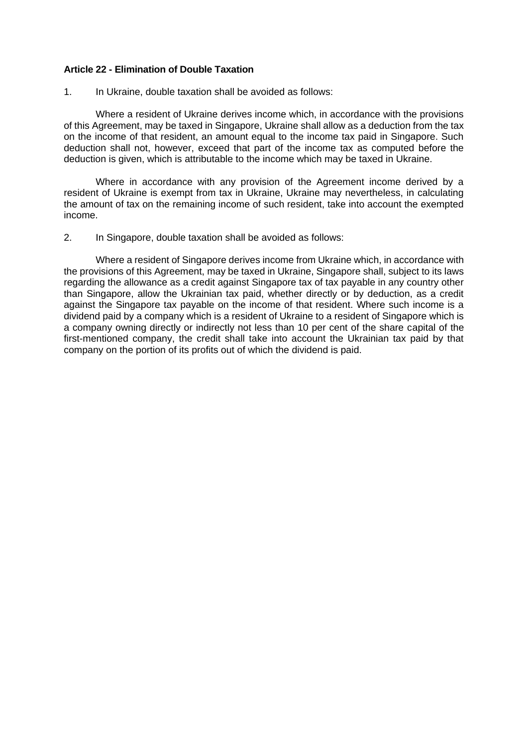#### **Article 22 - Elimination of Double Taxation**

1. In Ukraine, double taxation shall be avoided as follows:

Where a resident of Ukraine derives income which, in accordance with the provisions of this Agreement, may be taxed in Singapore, Ukraine shall allow as a deduction from the tax on the income of that resident, an amount equal to the income tax paid in Singapore. Such deduction shall not, however, exceed that part of the income tax as computed before the deduction is given, which is attributable to the income which may be taxed in Ukraine.

Where in accordance with any provision of the Agreement income derived by a resident of Ukraine is exempt from tax in Ukraine, Ukraine may nevertheless, in calculating the amount of tax on the remaining income of such resident, take into account the exempted income.

2. In Singapore, double taxation shall be avoided as follows:

Where a resident of Singapore derives income from Ukraine which, in accordance with the provisions of this Agreement, may be taxed in Ukraine, Singapore shall, subject to its laws regarding the allowance as a credit against Singapore tax of tax payable in any country other than Singapore, allow the Ukrainian tax paid, whether directly or by deduction, as a credit against the Singapore tax payable on the income of that resident. Where such income is a dividend paid by a company which is a resident of Ukraine to a resident of Singapore which is a company owning directly or indirectly not less than 10 per cent of the share capital of the first-mentioned company, the credit shall take into account the Ukrainian tax paid by that company on the portion of its profits out of which the dividend is paid.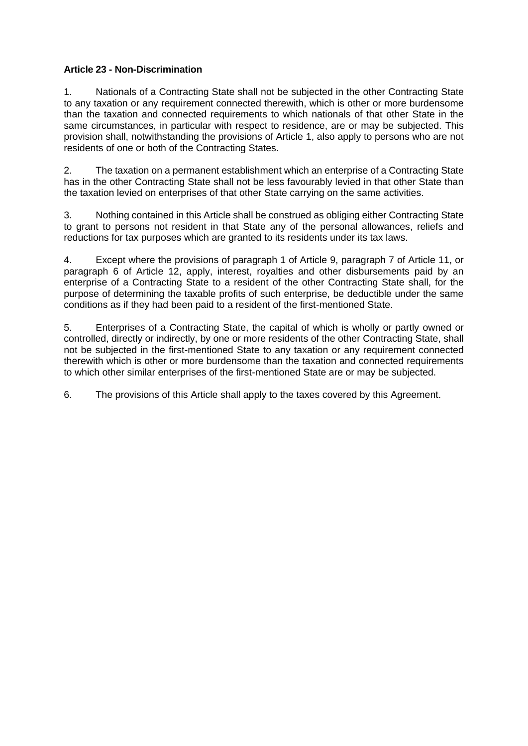## **Article 23 - Non-Discrimination**

1. Nationals of a Contracting State shall not be subjected in the other Contracting State to any taxation or any requirement connected therewith, which is other or more burdensome than the taxation and connected requirements to which nationals of that other State in the same circumstances, in particular with respect to residence, are or may be subjected. This provision shall, notwithstanding the provisions of Article 1, also apply to persons who are not residents of one or both of the Contracting States.

2. The taxation on a permanent establishment which an enterprise of a Contracting State has in the other Contracting State shall not be less favourably levied in that other State than the taxation levied on enterprises of that other State carrying on the same activities.

3. Nothing contained in this Article shall be construed as obliging either Contracting State to grant to persons not resident in that State any of the personal allowances, reliefs and reductions for tax purposes which are granted to its residents under its tax laws.

4. Except where the provisions of paragraph 1 of Article 9, paragraph 7 of Article 11, or paragraph 6 of Article 12, apply, interest, royalties and other disbursements paid by an enterprise of a Contracting State to a resident of the other Contracting State shall, for the purpose of determining the taxable profits of such enterprise, be deductible under the same conditions as if they had been paid to a resident of the first-mentioned State.

5. Enterprises of a Contracting State, the capital of which is wholly or partly owned or controlled, directly or indirectly, by one or more residents of the other Contracting State, shall not be subjected in the first-mentioned State to any taxation or any requirement connected therewith which is other or more burdensome than the taxation and connected requirements to which other similar enterprises of the first-mentioned State are or may be subjected.

6. The provisions of this Article shall apply to the taxes covered by this Agreement.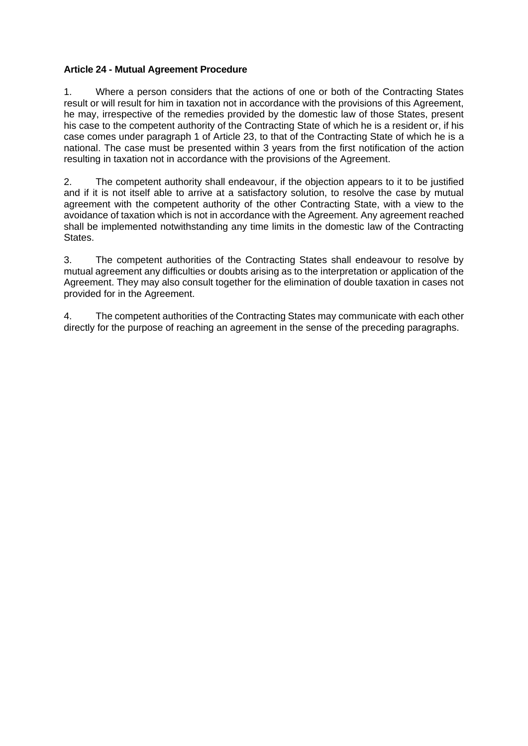## **Article 24 - Mutual Agreement Procedure**

1. Where a person considers that the actions of one or both of the Contracting States result or will result for him in taxation not in accordance with the provisions of this Agreement, he may, irrespective of the remedies provided by the domestic law of those States, present his case to the competent authority of the Contracting State of which he is a resident or, if his case comes under paragraph 1 of Article 23, to that of the Contracting State of which he is a national. The case must be presented within 3 years from the first notification of the action resulting in taxation not in accordance with the provisions of the Agreement.

2. The competent authority shall endeavour, if the objection appears to it to be justified and if it is not itself able to arrive at a satisfactory solution, to resolve the case by mutual agreement with the competent authority of the other Contracting State, with a view to the avoidance of taxation which is not in accordance with the Agreement. Any agreement reached shall be implemented notwithstanding any time limits in the domestic law of the Contracting States.

3. The competent authorities of the Contracting States shall endeavour to resolve by mutual agreement any difficulties or doubts arising as to the interpretation or application of the Agreement. They may also consult together for the elimination of double taxation in cases not provided for in the Agreement.

4. The competent authorities of the Contracting States may communicate with each other directly for the purpose of reaching an agreement in the sense of the preceding paragraphs.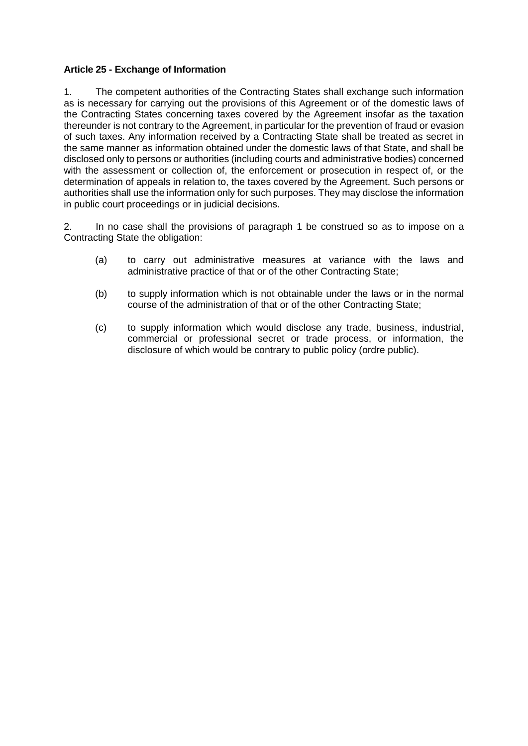## **Article 25 - Exchange of Information**

1. The competent authorities of the Contracting States shall exchange such information as is necessary for carrying out the provisions of this Agreement or of the domestic laws of the Contracting States concerning taxes covered by the Agreement insofar as the taxation thereunder is not contrary to the Agreement, in particular for the prevention of fraud or evasion of such taxes. Any information received by a Contracting State shall be treated as secret in the same manner as information obtained under the domestic laws of that State, and shall be disclosed only to persons or authorities (including courts and administrative bodies) concerned with the assessment or collection of, the enforcement or prosecution in respect of, or the determination of appeals in relation to, the taxes covered by the Agreement. Such persons or authorities shall use the information only for such purposes. They may disclose the information in public court proceedings or in judicial decisions.

2. In no case shall the provisions of paragraph 1 be construed so as to impose on a Contracting State the obligation:

- (a) to carry out administrative measures at variance with the laws and administrative practice of that or of the other Contracting State;
- (b) to supply information which is not obtainable under the laws or in the normal course of the administration of that or of the other Contracting State;
- (c) to supply information which would disclose any trade, business, industrial, commercial or professional secret or trade process, or information, the disclosure of which would be contrary to public policy (ordre public).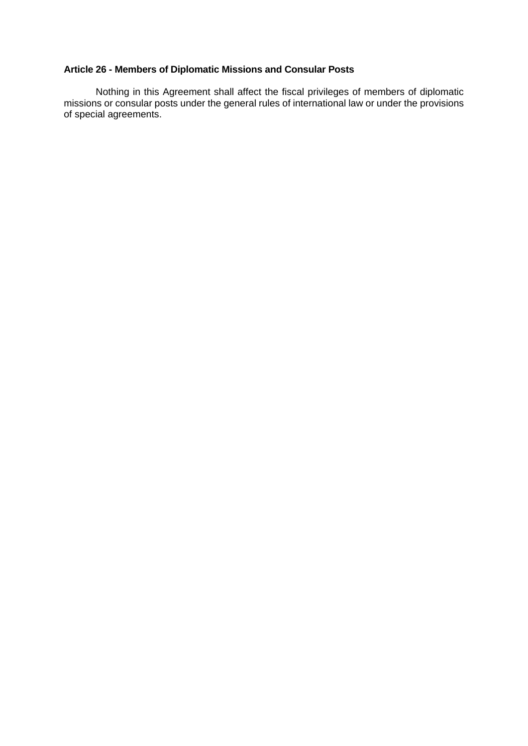# **Article 26 - Members of Diplomatic Missions and Consular Posts**

Nothing in this Agreement shall affect the fiscal privileges of members of diplomatic missions or consular posts under the general rules of international law or under the provisions of special agreements.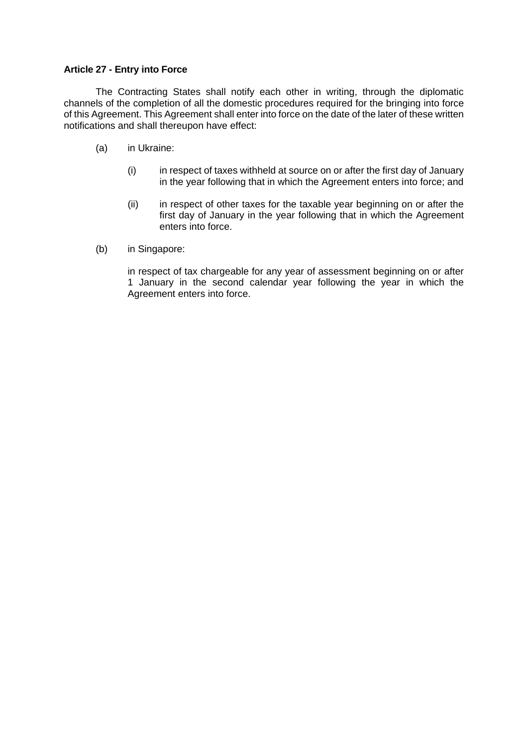#### **Article 27 - Entry into Force**

The Contracting States shall notify each other in writing, through the diplomatic channels of the completion of all the domestic procedures required for the bringing into force of this Agreement. This Agreement shall enter into force on the date of the later of these written notifications and shall thereupon have effect:

- (a) in Ukraine:
	- (i) in respect of taxes withheld at source on or after the first day of January in the year following that in which the Agreement enters into force; and
	- (ii) in respect of other taxes for the taxable year beginning on or after the first day of January in the year following that in which the Agreement enters into force.
- (b) in Singapore:

in respect of tax chargeable for any year of assessment beginning on or after 1 January in the second calendar year following the year in which the Agreement enters into force.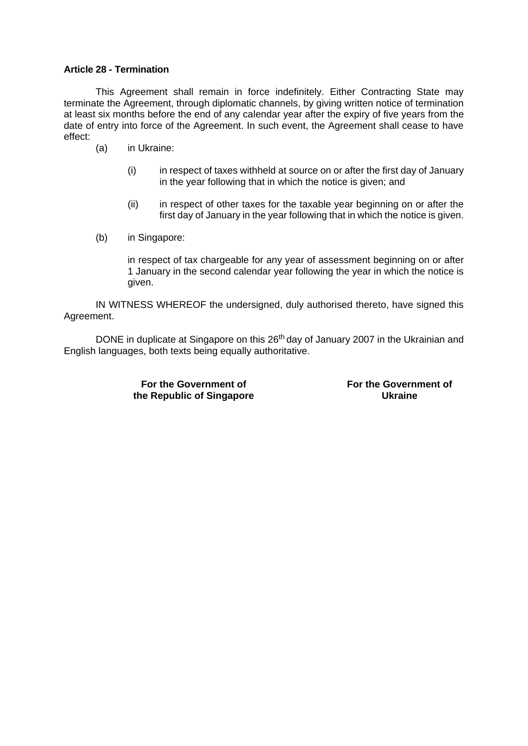#### **Article 28 - Termination**

This Agreement shall remain in force indefinitely. Either Contracting State may terminate the Agreement, through diplomatic channels, by giving written notice of termination at least six months before the end of any calendar year after the expiry of five years from the date of entry into force of the Agreement. In such event, the Agreement shall cease to have effect:

- (a) in Ukraine:
	- (i) in respect of taxes withheld at source on or after the first day of January in the year following that in which the notice is given; and
	- (ii) in respect of other taxes for the taxable year beginning on or after the first day of January in the year following that in which the notice is given.
- (b) in Singapore:

in respect of tax chargeable for any year of assessment beginning on or after 1 January in the second calendar year following the year in which the notice is given.

IN WITNESS WHEREOF the undersigned, duly authorised thereto, have signed this Agreement.

DONE in duplicate at Singapore on this 26<sup>th</sup> day of January 2007 in the Ukrainian and English languages, both texts being equally authoritative.

> **For the Government of the Republic of Singapore**

**For the Government of Ukraine**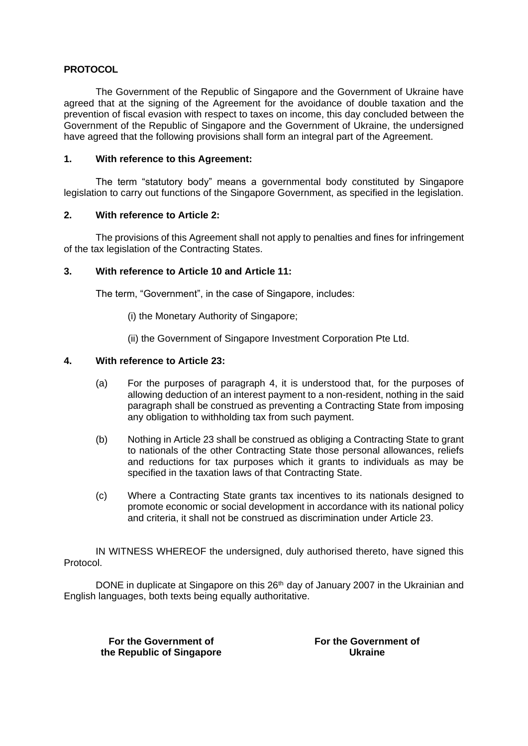#### **PROTOCOL**

The Government of the Republic of Singapore and the Government of Ukraine have agreed that at the signing of the Agreement for the avoidance of double taxation and the prevention of fiscal evasion with respect to taxes on income, this day concluded between the Government of the Republic of Singapore and the Government of Ukraine, the undersigned have agreed that the following provisions shall form an integral part of the Agreement.

#### **1. With reference to this Agreement:**

The term "statutory body" means a governmental body constituted by Singapore legislation to carry out functions of the Singapore Government, as specified in the legislation.

#### **2. With reference to Article 2:**

The provisions of this Agreement shall not apply to penalties and fines for infringement of the tax legislation of the Contracting States.

#### **3. With reference to Article 10 and Article 11:**

The term, "Government", in the case of Singapore, includes:

- (i) the Monetary Authority of Singapore;
- (ii) the Government of Singapore Investment Corporation Pte Ltd.

#### **4. With reference to Article 23:**

- (a) For the purposes of paragraph 4, it is understood that, for the purposes of allowing deduction of an interest payment to a non-resident, nothing in the said paragraph shall be construed as preventing a Contracting State from imposing any obligation to withholding tax from such payment.
- (b) Nothing in Article 23 shall be construed as obliging a Contracting State to grant to nationals of the other Contracting State those personal allowances, reliefs and reductions for tax purposes which it grants to individuals as may be specified in the taxation laws of that Contracting State.
- (c) Where a Contracting State grants tax incentives to its nationals designed to promote economic or social development in accordance with its national policy and criteria, it shall not be construed as discrimination under Article 23.

IN WITNESS WHEREOF the undersigned, duly authorised thereto, have signed this Protocol.

DONE in duplicate at Singapore on this 26<sup>th</sup> day of January 2007 in the Ukrainian and English languages, both texts being equally authoritative.

**For the Government of the Republic of Singapore**  **For the Government of Ukraine**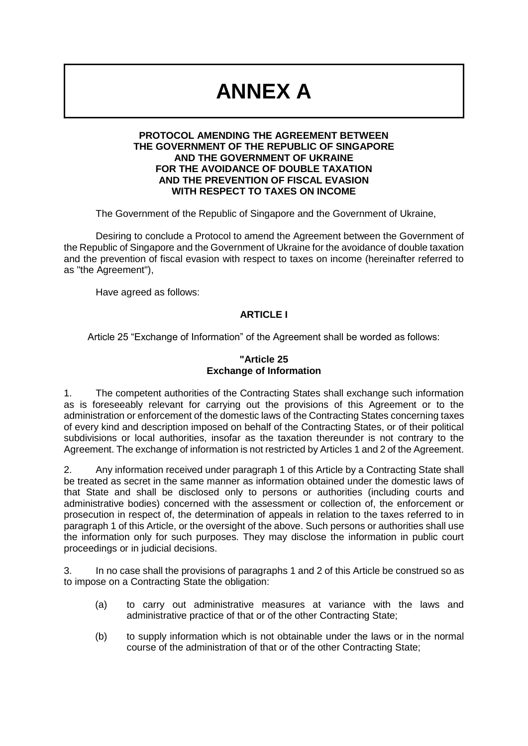# **ANNEX A**

## **PROTOCOL AMENDING THE AGREEMENT BETWEEN THE GOVERNMENT OF THE REPUBLIC OF SINGAPORE AND THE GOVERNMENT OF UKRAINE FOR THE AVOIDANCE OF DOUBLE TAXATION AND THE PREVENTION OF FISCAL EVASION WITH RESPECT TO TAXES ON INCOME**

The Government of the Republic of Singapore and the Government of Ukraine,

Desiring to conclude a Protocol to amend the Agreement between the Government of the Republic of Singapore and the Government of Ukraine for the avoidance of double taxation and the prevention of fiscal evasion with respect to taxes on income (hereinafter referred to as "the Agreement"),

Have agreed as follows:

# **ARTICLE I**

Article 25 "Exchange of Information" of the Agreement shall be worded as follows:

# **"Article 25 Exchange of Information**

1. The competent authorities of the Contracting States shall exchange such information as is foreseeably relevant for carrying out the provisions of this Agreement or to the administration or enforcement of the domestic laws of the Contracting States concerning taxes of every kind and description imposed on behalf of the Contracting States, or of their political subdivisions or local authorities, insofar as the taxation thereunder is not contrary to the Agreement. The exchange of information is not restricted by Articles 1 and 2 of the Agreement.

2. Any information received under paragraph 1 of this Article by a Contracting State shall be treated as secret in the same manner as information obtained under the domestic laws of that State and shall be disclosed only to persons or authorities (including courts and administrative bodies) concerned with the assessment or collection of, the enforcement or prosecution in respect of, the determination of appeals in relation to the taxes referred to in paragraph 1 of this Article, or the oversight of the above. Such persons or authorities shall use the information only for such purposes. They may disclose the information in public court proceedings or in judicial decisions.

3. In no case shall the provisions of paragraphs 1 and 2 of this Article be construed so as to impose on a Contracting State the obligation:

- (a) to carry out administrative measures at variance with the laws and administrative practice of that or of the other Contracting State;
- (b) to supply information which is not obtainable under the laws or in the normal course of the administration of that or of the other Contracting State;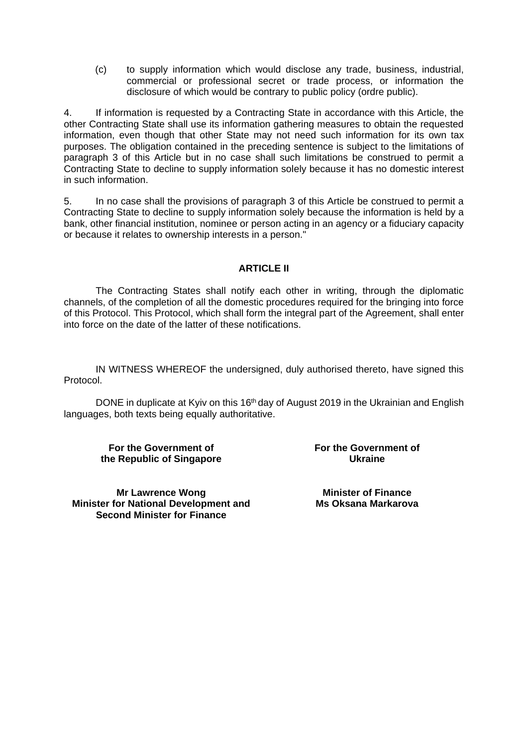(c) to supply information which would disclose any trade, business, industrial, commercial or professional secret or trade process, or information the disclosure of which would be contrary to public policy (ordre public).

4. If information is requested by a Contracting State in accordance with this Article, the other Contracting State shall use its information gathering measures to obtain the requested information, even though that other State may not need such information for its own tax purposes. The obligation contained in the preceding sentence is subject to the limitations of paragraph 3 of this Article but in no case shall such limitations be construed to permit a Contracting State to decline to supply information solely because it has no domestic interest in such information.

5. In no case shall the provisions of paragraph 3 of this Article be construed to permit a Contracting State to decline to supply information solely because the information is held by a bank, other financial institution, nominee or person acting in an agency or a fiduciary capacity or because it relates to ownership interests in a person."

## **ARTICLE II**

The Contracting States shall notify each other in writing, through the diplomatic channels, of the completion of all the domestic procedures required for the bringing into force of this Protocol. This Protocol, which shall form the integral part of the Agreement, shall enter into force on the date of the latter of these notifications.

IN WITNESS WHEREOF the undersigned, duly authorised thereto, have signed this Protocol.

DONE in duplicate at Kyiv on this 16<sup>th</sup> day of August 2019 in the Ukrainian and English languages, both texts being equally authoritative.

**For the Government of the Republic of Singapore**

**Mr Lawrence Wong Minister for National Development and Second Minister for Finance**

**For the Government of Ukraine** 

**Minister of Finance Ms Oksana Markarova**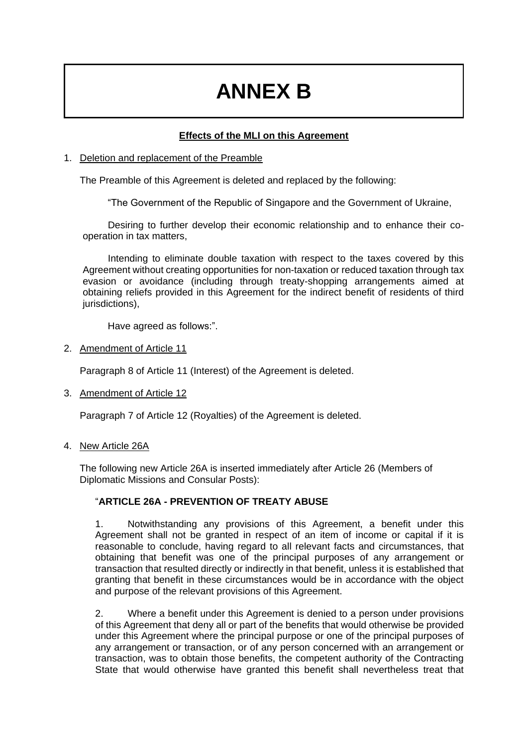# **ANNEX B**

# **Effects of the MLI on this Agreement**

#### 1. Deletion and replacement of the Preamble

The Preamble of this Agreement is deleted and replaced by the following:

"The Government of the Republic of Singapore and the Government of Ukraine,

Desiring to further develop their economic relationship and to enhance their cooperation in tax matters,

Intending to eliminate double taxation with respect to the taxes covered by this Agreement without creating opportunities for non-taxation or reduced taxation through tax evasion or avoidance (including through treaty-shopping arrangements aimed at obtaining reliefs provided in this Agreement for the indirect benefit of residents of third jurisdictions),

Have agreed as follows:".

2. Amendment of Article 11

Paragraph 8 of Article 11 (Interest) of the Agreement is deleted.

3. Amendment of Article 12

Paragraph 7 of Article 12 (Royalties) of the Agreement is deleted.

4. New Article 26A

The following new Article 26A is inserted immediately after Article 26 (Members of Diplomatic Missions and Consular Posts):

## "**ARTICLE 26A - PREVENTION OF TREATY ABUSE**

1. Notwithstanding any provisions of this Agreement, a benefit under this Agreement shall not be granted in respect of an item of income or capital if it is reasonable to conclude, having regard to all relevant facts and circumstances, that obtaining that benefit was one of the principal purposes of any arrangement or transaction that resulted directly or indirectly in that benefit, unless it is established that granting that benefit in these circumstances would be in accordance with the object and purpose of the relevant provisions of this Agreement.

2. Where a benefit under this Agreement is denied to a person under provisions of this Agreement that deny all or part of the benefits that would otherwise be provided under this Agreement where the principal purpose or one of the principal purposes of any arrangement or transaction, or of any person concerned with an arrangement or transaction, was to obtain those benefits, the competent authority of the Contracting State that would otherwise have granted this benefit shall nevertheless treat that